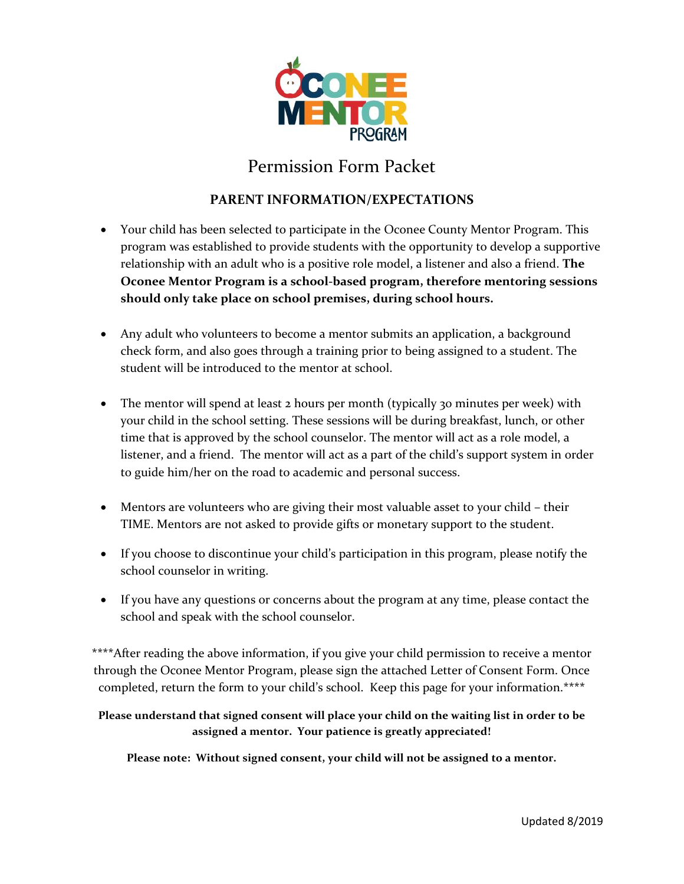

# Permission Form Packet

### **PARENT INFORMATION/EXPECTATIONS**

- Your child has been selected to participate in the Oconee County Mentor Program. This program was established to provide students with the opportunity to develop a supportive relationship with an adult who is a positive role model, a listener and also a friend. **The Oconee Mentor Program is a school-based program, therefore mentoring sessions should only take place on school premises, during school hours.**
- Any adult who volunteers to become a mentor submits an application, a background check form, and also goes through a training prior to being assigned to a student. The student will be introduced to the mentor at school.
- The mentor will spend at least 2 hours per month (typically 30 minutes per week) with your child in the school setting. These sessions will be during breakfast, lunch, or other time that is approved by the school counselor. The mentor will act as a role model, a listener, and a friend. The mentor will act as a part of the child's support system in order to guide him/her on the road to academic and personal success.
- Mentors are volunteers who are giving their most valuable asset to your child their TIME. Mentors are not asked to provide gifts or monetary support to the student.
- If you choose to discontinue your child's participation in this program, please notify the school counselor in writing.
- If you have any questions or concerns about the program at any time, please contact the school and speak with the school counselor.

**\*\*\*\***After reading the above information, if you give your child permission to receive a mentor through the Oconee Mentor Program, please sign the attached Letter of Consent Form. Once completed, return the form to your child's school. Keep this page for your information.**\*\*\*\***

#### **Please understand that signed consent will place your child on the waiting list in order to be assigned a mentor. Your patience is greatly appreciated!**

**Please note: Without signed consent, your child will not be assigned to a mentor.**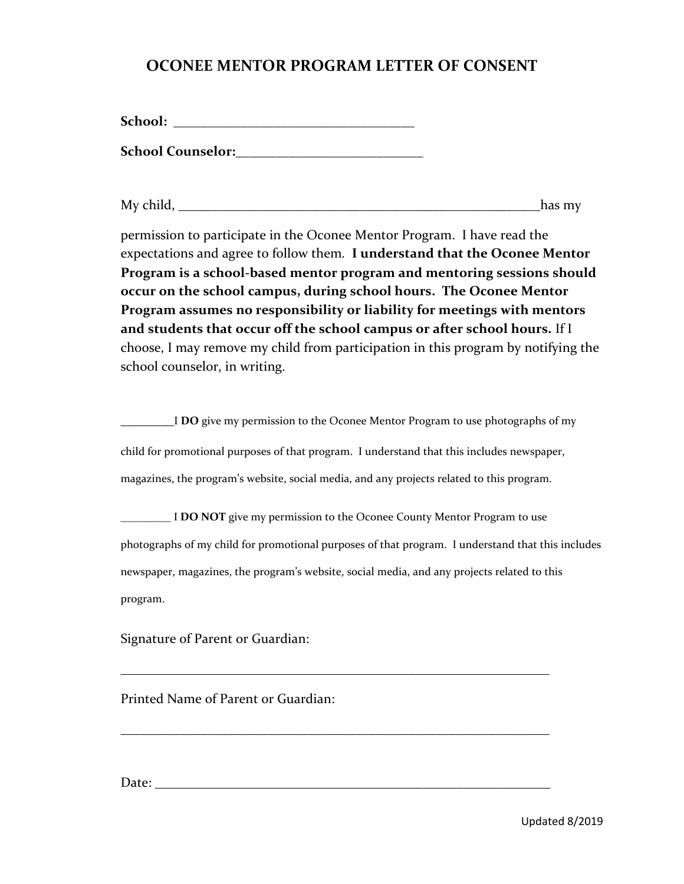### **OCONEE MENTOR PROGRAM LETTER OF CONSENT**

**School Counselor:** 

 $Mv$  child,  $\frac{1}{2}$  has my

permission to participate in the Oconee Mentor Program. I have read the expectations and agree to follow them*.* **I understand that the Oconee Mentor Program is a school-based mentor program and mentoring sessions should occur on the school campus, during school hours. The Oconee Mentor Program assumes no responsibility or liability for meetings with mentors and students that occur off the school campus or after school hours.** If I choose, I may remove my child from participation in this program by notifying the school counselor, in writing.

\_\_\_\_\_\_\_\_I **DO** give my permission to the Oconee Mentor Program to use photographs of my child for promotional purposes of that program. I understand that this includes newspaper, magazines, the program's website, social media, and any projects related to this program.

\_\_\_\_\_\_\_\_\_ I **DO NOT** give my permission to the Oconee County Mentor Program to use photographs of my child for promotional purposes of that program. I understand that this includes newspaper, magazines, the program's website, social media, and any projects related to this program.

\_\_\_\_\_\_\_\_\_\_\_\_\_\_\_\_\_\_\_\_\_\_\_\_\_\_\_\_\_\_\_\_\_\_\_\_\_\_\_\_\_\_\_\_\_\_\_\_\_\_\_\_\_\_\_\_\_\_\_\_\_\_\_\_

\_\_\_\_\_\_\_\_\_\_\_\_\_\_\_\_\_\_\_\_\_\_\_\_\_\_\_\_\_\_\_\_\_\_\_\_\_\_\_\_\_\_\_\_\_\_\_\_\_\_\_\_\_\_\_\_\_\_\_\_\_\_\_\_

Signature of Parent or Guardian:

Printed Name of Parent or Guardian:

Date: